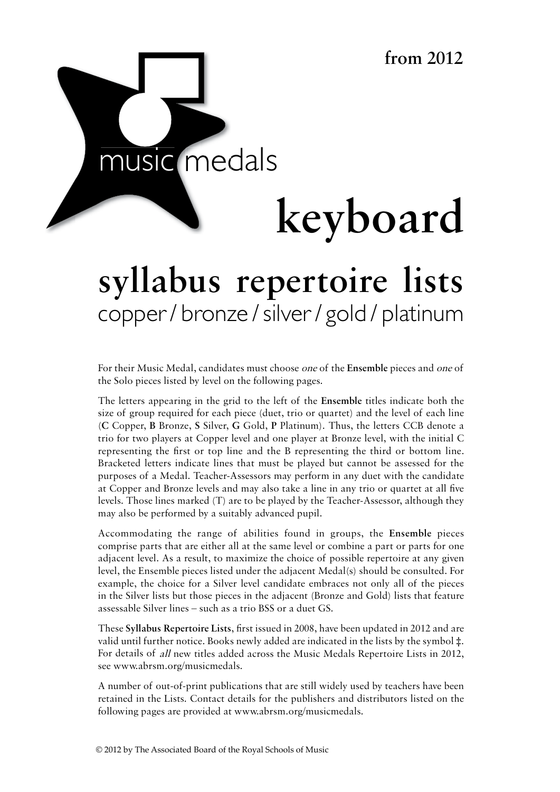

# **keyboard**

# syllabus repertoire lists copper / bronze / silver / gold / platinum syllabus handbook

For their Music Medal, candidates must choose *one* of the Ensemble pieces and *one* of the Solo pieces listed by level on the following pages.

The letters appearing in the grid to the left of the **Ensemble** titles indicate both the size of group required for each piece (duet, trio or quartet) and the level of each line (**C** Copper, **B** Bronze, **S** Silver, **G** Gold, **P** Platinum). Thus, the letters CCB denote a trio for two players at Copper level and one player at Bronze level, with the initial C representing the first or top line and the B representing the third or bottom line. Bracketed letters indicate lines that must be played but cannot be assessed for the purposes of a Medal. Teacher-Assessors may perform in any duet with the candidate at Copper and Bronze levels and may also take a line in any trio or quartet at all five levels. Those lines marked (T) are to be played by the Teacher-Assessor, although they may also be performed by a suitably advanced pupil.

Accommodating the range of abilities found in groups, the **Ensemble** pieces comprise parts that are either all at the same level or combine a part or parts for one adjacent level. As a result, to maximize the choice of possible repertoire at any given level, the Ensemble pieces listed under the adjacent Medal(s) should be consulted. For example, the choice for a Silver level candidate embraces not only all of the pieces in the Silver lists but those pieces in the adjacent (Bronze and Gold) lists that feature assessable Silver lines – such as a trio BSS or a duet GS.

These **Syllabus Repertoire Lists**, first issued in 2008, have been updated in 2012 and are valid until further notice. Books newly added are indicated in the lists by the symbol ‡. For details of all new titles added across the Music Medals Repertoire Lists in 2012, see www.abrsm.org/musicmedals.

A number of out-of-print publications that are still widely used by teachers have been retained in the Lists. Contact details for the publishers and distributors listed on the following pages are provided at www.abrsm.org/musicmedals.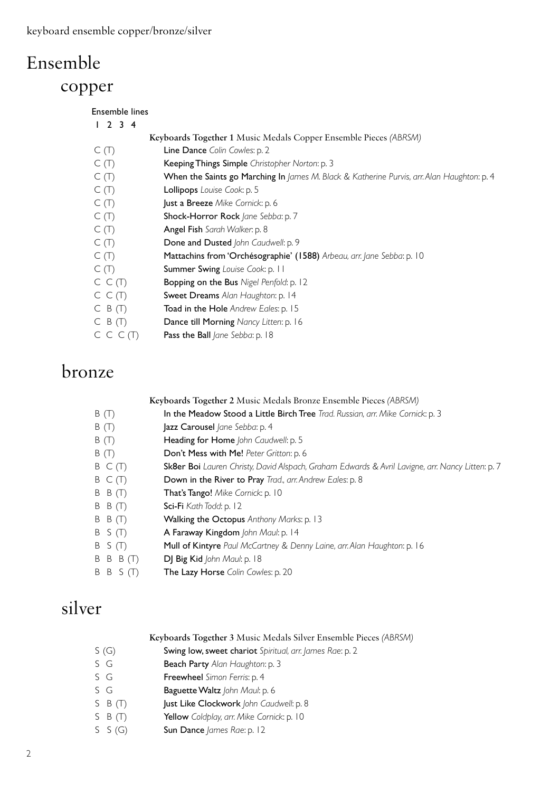## Ensemble copper

| Ensemble lines |                                                                                            |
|----------------|--------------------------------------------------------------------------------------------|
| $2 \t3 \t4$    |                                                                                            |
|                | Keyboards Together 1 Music Medals Copper Ensemble Pieces (ABRSM)                           |
| C(T)           | Line Dance Colin Cowles: p. 2                                                              |
| C(T)           | Keeping Things Simple Christopher Norton: p. 3                                             |
| C(T)           | When the Saints go Marching In James M. Black & Katherine Purvis, arr. Alan Haughton: p. 4 |
| C(T)           | Lollipops Louise Cook: p. 5                                                                |
| C(T)           | Just a Breeze Mike Cornick: p. 6                                                           |
| C(T)           | Shock-Horror Rock Jane Sebba: p. 7                                                         |
| C(T)           | Angel Fish Sarah Walker: p. 8                                                              |
| C(T)           | Done and Dusted John Caudwell: p. 9                                                        |
| C(T)           | Mattachins from 'Orchésographie' (1588) Arbeau, arr. Jane Sebba: p. 10                     |
| C(T)           | Summer Swing Louise Cook: p. 11                                                            |
| C C(T)         | Bopping on the Bus Nigel Penfold: p. 12                                                    |
| C C(T)         | Sweet Dreams Alan Haughton: p. 14                                                          |
| $C$ B $(T)$    | <b>Toad in the Hole</b> Andrew Eales: p. 15                                                |
| $C$ B $(T)$    | Dance till Morning Nancy Litten: p. 16                                                     |
| C C C(T)       | Pass the Ball Jane Sebba: p. 18                                                            |

## bronze

 **Keyboards Together 2** Music Medals Bronze Ensemble Pieces *(ABRSM)*

- B (T) In the Meadow Stood a Little Birch Tree *Trad. Russian, arr. Mike Cornick*: p. 3
- B (T) **Jazz Carousel** *Jane Sebba*: p. 4
- B (T) Heading for Home *John Caudwell*: p. 5
- B (T) Don't Mess with Me! *Peter Gritton*: p. 6
- B C (T) Sk8er Boi *Lauren Christy, David Alspach, Graham Edwards & Avril Lavigne, arr. Nancy Litten*: p. 7
- B C (T) Down in the River to Pray *Trad., arr. Andrew Eales*: p. 8
- B B (T) That's Tango! *Mike Cornick*: p. 10
- B B (T) Sci-Fi *Kath Todd*: p. 12
- B B (T) Walking the Octopus *Anthony Marks*: p. 13
- B S (T) A Faraway Kingdom *John Maul*: p. 14
- B S (T) Mull of Kintyre *Paul McCartney & Denny Laine, arr. Alan Haughton*: p. 16
- B B B (T) DJ Big Kid *John Maul*: p. 18
- B B S (T) The Lazy Horse *Colin Cowles*: p. 20

## silver

| Keyboards Together 3 Music Medals Silver Ensemble Pieces (ABRSM) |  |
|------------------------------------------------------------------|--|
|------------------------------------------------------------------|--|

- S (G) Swing low, sweet chariot *Spiritual, arr. James Rae*: p. 2
- S G Beach Party Alan Haughton: p. 3
- S G Freewheel *Simon Ferris*: p. 4
- S G Baguette Waltz *John Maul*: p. 6
- S B (T) **Just Like Clockwork** John Caudwell: p. 8
- S B (T) Yellow *Coldplay, arr. Mike Cornick*: p. 10
- S S (G) **Sun Dance** *James Rae*: p. 12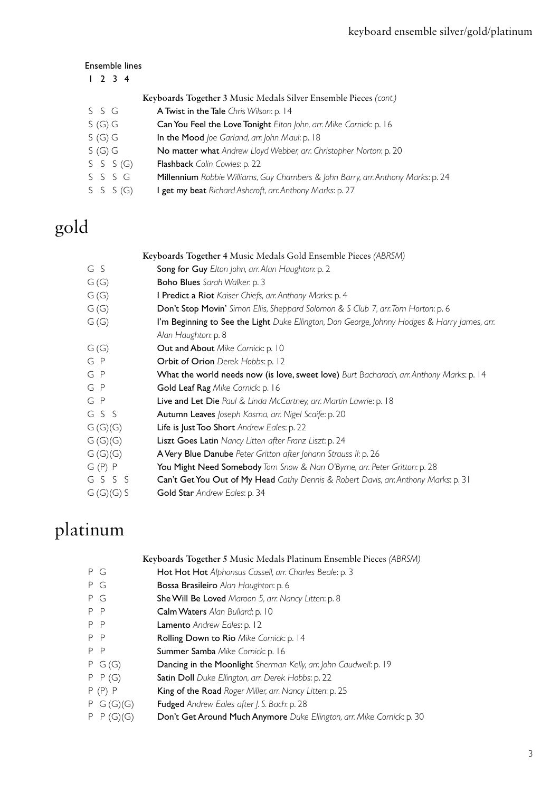#### Ensemble lines

| 1234      |                                                                                  |
|-----------|----------------------------------------------------------------------------------|
|           | Keyboards Together 3 Music Medals Silver Ensemble Pieces (cont.)                 |
| SSG       | A Twist in the Tale Chris Wilson: p. 14                                          |
| S(G)G     | Can You Feel the Love Tonight Elton John, arr. Mike Cornick: p. 16               |
| S(G)G     | In the Mood Joe Garland, arr. John Maul: p. 18                                   |
| S(G)G     | No matter what Andrew Lloyd Webber, arr. Christopher Norton: p. 20               |
| S S S (G) | <b>Flashback</b> Colin Cowles: p. 22                                             |
| SSSG      | Millennium Robbie Williams, Guy Chambers & John Barry, arr. Anthony Marks: p. 24 |
| S S S (G) | I get my beat Richard Ashcroft, arr. Anthony Marks: p. 27                        |
|           |                                                                                  |

# gold

#### **Keyboards Together 4** Music Medals Gold Ensemble Pieces *(ABRSM)*

- G S Song for Guy *Elton John, arr. Alan Haughton*: p. 2
- G (G) Boho Blues *Sarah Walker*: p. 3
- G (G) I Predict a Riot *Kaiser Chiefs, arr. Anthony Marks*: p. 4
- G (G) Don't Stop Movin' *Simon Ellis, Sheppard Solomon & S Club 7, arr. Tom Horton*: p. 6
- G (G) I'm Beginning to See the Light *Duke Ellington, Don George, Johnny Hodges & Harry James, arr. Alan Haughton*: p. 8
- G (G) Out and About *Mike Cornick*: p. 10
- G P **Orbit of Orion** Derek Hobbs: p. 12
- G P What the world needs now (is love, sweet love) *Burt Bacharach, arr. Anthony Marks*: p. 14
- G P Gold Leaf Rag *Mike Cornick*: p. 16
- G P Live and Let Die *Paul & Linda McCartney, arr. Martin Lawrie*: p. 18
- G S S Autumn Leaves *Joseph Kosma, arr. Nigel Scaife*: p. 20
- G (G)(G) Life is Just Too Short *Andrew Eales*: p. 22
- G (G)(G) Liszt Goes Latin *Nancy Litten after Franz Liszt*: p. 24
- G (G)(G) A Very Blue Danube *Peter Gritton after Johann Strauss II*: p. 26
- G (P) P You Might Need Somebody *Tom Snow & Nan O'Byrne, arr. Peter Gritton*: p. 28
- G S S S Can't Get You Out of My Head *Cathy Dennis & Robert Davis, arr. Anthony Marks*: p. 31
- G (G)(G) S **Gold Star** Andrew Eales: p. 34

#### platinum

|  | Keyboards Together 5 Music Medals Platinum Ensemble Pieces (ABRSM) |  |  |  |  |
|--|--------------------------------------------------------------------|--|--|--|--|
|--|--------------------------------------------------------------------|--|--|--|--|

- P G Hot Hot Hot *Alphonsus Cassell, arr. Charles Beale*: p. 3
- P G Bossa Brasileiro *Alan Haughton*: p. 6
- P G She Will Be Loved *Maroon 5, arr. Nancy Litten*: p. 8
- P P **Calm Waters** Alan Bullard: p. 10
- P P Lamento *Andrew Eales*: p. 12
- P P Rolling Down to Rio *Mike Cornick*: p. 14
- P P Summer Samba *Mike Cornick*: p. 16
- P G (G) Dancing in the Moonlight *Sherman Kelly, arr. John Caudwell*: p. 19
- P P (G) Satin Doll *Duke Ellington, arr. Derek Hobbs*: p. 22
- P (P) P King of the Road *Roger Miller, arr. Nancy Litten*: p. 25
- P G (G)(G) Fudged *Andrew Eales after J. S. Bach*: p. 28
- P P (G)(G) Don't Get Around Much Anymore *Duke Ellington, arr. Mike Cornick*: p. 30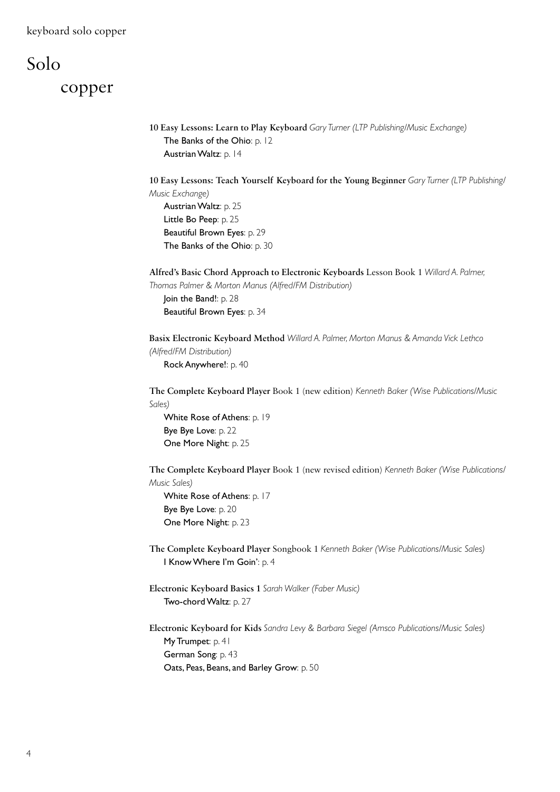# Solo copper

```
 10 Easy Lessons: Learn to Play Keyboard Gary Turner (LTP Publishing/Music Exchange)
The Banks of the Ohio: p. 12
 Austrian Waltz: p. 14
```
 **10 Easy Lessons: Teach Yourself Keyboard for the Young Beginner** *Gary Turner (LTP Publishing/ Music Exchange)* Austrian Waltz: p. 25 Little Bo Peep: p. 25

 Beautiful Brown Eyes: p. 29 The Banks of the Ohio: p. 30

 **Alfred's Basic Chord Approach to Electronic Keyboards** Lesson Book 1 *Willard A. Palmer, Thomas Palmer & Morton Manus (Alfred/FM Distribution)* Join the Band!: p. 28

Beautiful Brown Eyes: p. 34

 **Basix Electronic Keyboard Method** *Willard A. Palmer, Morton Manus & Amanda Vick Lethco (Alfred/FM Distribution)* Rock Anywhere!: p. 40

 **The Complete Keyboard Player** Book 1 (new edition) *Kenneth Baker (Wise Publications/Music Sales)*

White Rose of Athens: p. 19 Bye Bye Love: p. 22 One More Night: p. 25

 **The Complete Keyboard Player** Book 1 (new revised edition) *Kenneth Baker (Wise Publications/ Music Sales)*

White Rose of Athens: p. 17 Bye Bye Love: p. 20 One More Night: p. 23

 **The Complete Keyboard Player** Songbook 1 *Kenneth Baker (Wise Publications/Music Sales)* I Know Where I'm Goin': p. 4

 **Electronic Keyboard Basics 1** *Sarah Walker (Faber Music)* Two-chord Waltz: p. 27

 **Electronic Keyboard for Kids** *Sandra Levy & Barbara Siegel (Amsco Publications/Music Sales)* My Trumpet: p. 41 German Song: p. 43 Oats, Peas, Beans, and Barley Grow: p. 50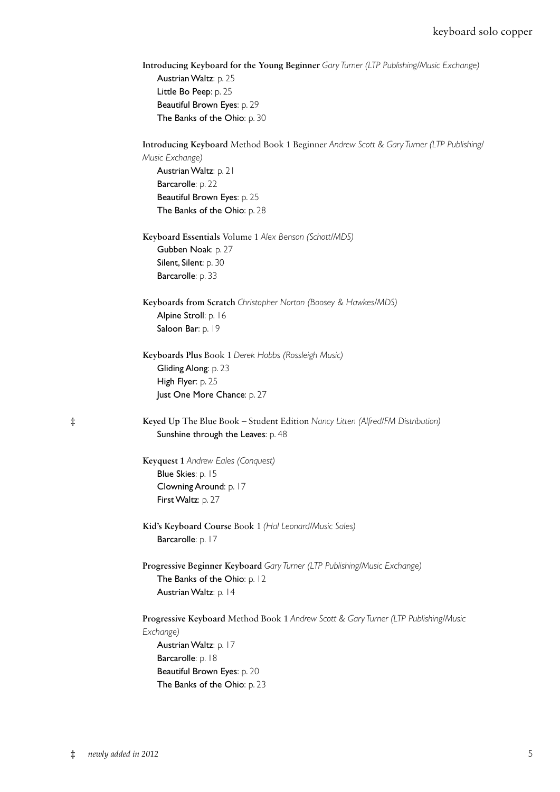| <b>Introducing Keyboard for the Young Beginner</b> Gary Turner (LTP Publishing/Music Exchange) |
|------------------------------------------------------------------------------------------------|
| <b>Austrian Waltz</b> : p. 25                                                                  |
| Little Bo Peep: $p. 25$                                                                        |
| <b>Beautiful Brown Eyes: p. 29</b>                                                             |
| The Banks of the Ohio: p. 30                                                                   |

|            | Introducing Keyboard Method Book 1 Beginner Andrew Scott & Gary Turner (LTP Publishing/<br>Music Exchange)<br>Austrian Waltz: p. 21<br>Barcarolle: p. 22<br>Beautiful Brown Eyes: p. 25<br>The Banks of the Ohio: p. 28 |
|------------|-------------------------------------------------------------------------------------------------------------------------------------------------------------------------------------------------------------------------|
|            | Keyboard Essentials Volume 1 Alex Benson (Schott/MDS)<br>Gubben Noak: p. 27<br>Silent, Silent: p. 30<br>Barcarolle: p. 33                                                                                               |
|            | Keyboards from Scratch Christopher Norton (Boosey & Hawkes/MDS)<br>Alpine Stroll: p. 16<br>Saloon Bar: p. 19                                                                                                            |
|            | Keyboards Plus Book 1 Derek Hobbs (Rossleigh Music)<br>Gliding Along: p. 23<br>High Flyer: p. 25<br>Just One More Chance: p. 27                                                                                         |
| $\ddagger$ | Keyed Up The Blue Book - Student Edition Nancy Litten (Alfred/FM Distribution)<br>Sunshine through the Leaves: p. 48                                                                                                    |
|            | Keyquest 1 Andrew Eales (Conquest)<br>Blue Skies: p. 15<br>Clowning Around: p. 17<br>First Waltz: p. 27                                                                                                                 |
|            | Kid's Keyboard Course Book 1 (Hal Leonard/Music Sales)<br>Barcarolle: p. 17                                                                                                                                             |
|            | Progressive Beginner Keyboard Gary Turner (LTP Publishing/Music Exchange)<br>The Banks of the Ohio: p. 12<br>Austrian Waltz: p. 14                                                                                      |
|            | Progressive Keyboard Method Book 1 Andrew Scott & Gary Turner (LTP Publishing/Music<br>Exchange)<br>Austrian Waltz: p. 17<br>Barcarolle: p. 18<br>Beautiful Brown Eyes: p. 20<br>The Banks of the Ohio: p. 23           |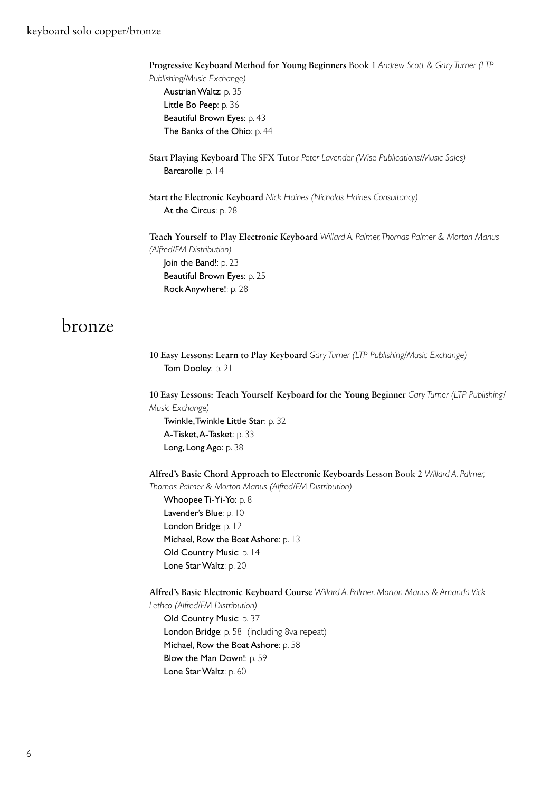**Progressive Keyboard Method for Young Beginners** Book 1 *Andrew Scott & Gary Turner (LTP* 

 *Publishing/Music Exchange)* Austrian Waltz: p. 35 Little Bo Peep: p. 36 Beautiful Brown Eyes: p. 43 The Banks of the Ohio: p. 44

- **Start Playing Keyboard** The SFX Tutor *Peter Lavender (Wise Publications/Music Sales)* Barcarolle: p. 14
- **Start the Electronic Keyboard** *Nick Haines (Nicholas Haines Consultancy)* At the Circus: p. 28

 **Teach Yourself to Play Electronic Keyboard** *Willard A. Palmer, Thomas Palmer & Morton Manus (Alfred/FM Distribution)*

Join the Band!: p. 23 Beautiful Brown Eyes: p. 25 Rock Anywhere!: p. 28

#### bronze

 **10 Easy Lessons: Learn to Play Keyboard** *Gary Turner (LTP Publishing/Music Exchange)* Tom Dooley: p. 21

 **10 Easy Lessons: Teach Yourself Keyboard for the Young Beginner** *Gary Turner (LTP Publishing/ Music Exchange)*

 Twinkle, Twinkle Little Star: p. 32 A-Tisket, A-Tasket: p. 33 Long, Long Ago: p. 38

 **Alfred's Basic Chord Approach to Electronic Keyboards** Lesson Book 2 *Willard A. Palmer, Thomas Palmer & Morton Manus (Alfred/FM Distribution)*

 Whoopee Ti-Yi-Yo: p. 8 Lavender's Blue: p. 10 London Bridge: p. 12 Michael, Row the Boat Ashore: p. 13 Old Country Music: p. 14 Lone Star Waltz: p. 20

 **Alfred's Basic Electronic Keyboard Course** *Willard A. Palmer, Morton Manus & Amanda Vick* 

 *Lethco (Alfred/FM Distribution)*

Old Country Music: p. 37 London Bridge: p. 58 (including 8va repeat) Michael, Row the Boat Ashore: p. 58 Blow the Man Down!: p. 59 Lone Star Waltz: p. 60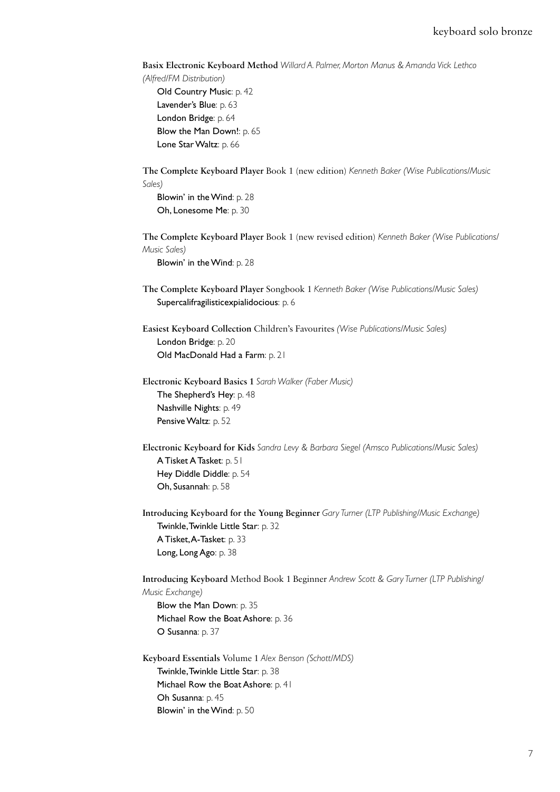**Basix Electronic Keyboard Method** *Willard A. Palmer, Morton Manus & Amanda Vick Lethco* 

 *(Alfred/FM Distribution)*

 Old Country Music: p. 42 Lavender's Blue: p. 63 London Bridge: p. 64 Blow the Man Down!: p. 65 Lone Star Waltz: p. 66

 **The Complete Keyboard Player** Book 1 (new edition) *Kenneth Baker (Wise Publications/Music Sales)*

 Blowin' in the Wind: p. 28 Oh, Lonesome Me: p. 30

 **The Complete Keyboard Player** Book 1 (new revised edition) *Kenneth Baker (Wise Publications/ Music Sales)*

Blowin' in the Wind: p. 28

 **The Complete Keyboard Player** Songbook 1 *Kenneth Baker (Wise Publications/Music Sales)* Supercalifragilisticexpialidocious: p. 6

 **Easiest Keyboard Collection** Children's Favourites *(Wise Publications/Music Sales)* London Bridge: p. 20 Old MacDonald Had a Farm: p. 21

 **Electronic Keyboard Basics 1** *Sarah Walker (Faber Music)* The Shepherd's Hey: p. 48 Nashville Nights: p. 49 Pensive Waltz: p. 52

 **Electronic Keyboard for Kids** *Sandra Levy & Barbara Siegel (Amsco Publications/Music Sales)* A Tisket A Tasket: p. 51 Hey Diddle Diddle: p. 54 Oh, Susannah: p. 58

 **Introducing Keyboard for the Young Beginner** *Gary Turner (LTP Publishing/Music Exchange)* Twinkle, Twinkle Little Star: p. 32 A Tisket, A-Tasket: p. 33 Long, Long Ago: p. 38

 **Introducing Keyboard** Method Book 1 Beginner *Andrew Scott & Gary Turner (LTP Publishing/ Music Exchange)*

 Blow the Man Down: p. 35 Michael Row the Boat Ashore: p. 36 O Susanna: p. 37

 **Keyboard Essentials** Volume 1 *Alex Benson (Schott/MDS)* Twinkle, Twinkle Little Star: p. 38 Michael Row the Boat Ashore: p. 41 Oh Susanna: p. 45 Blowin' in the Wind: p. 50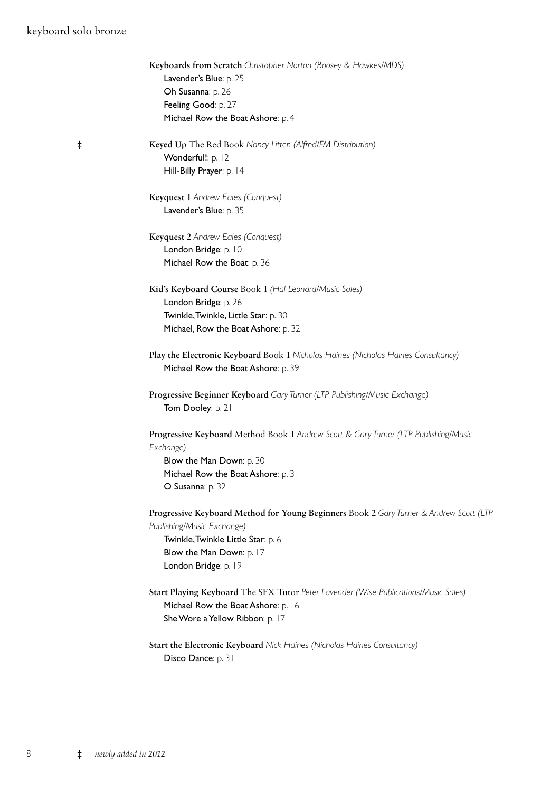#### keyboard solo bronze

|          | Keyboards from Scratch Christopher Norton (Boosey & Hawkes/MDS)                                                         |
|----------|-------------------------------------------------------------------------------------------------------------------------|
|          | Lavender's Blue: p. 25                                                                                                  |
|          | Oh Susanna: p. 26                                                                                                       |
|          | Feeling Good: p. 27                                                                                                     |
|          | Michael Row the Boat Ashore: p. 41                                                                                      |
| $^\ddag$ | Keyed Up The Red Book Nancy Litten (Alfred/FM Distribution)                                                             |
|          | Wonderful!: p. 12                                                                                                       |
|          | Hill-Billy Prayer: p. 14                                                                                                |
|          | Keyquest 1 Andrew Eales (Conquest)                                                                                      |
|          | Lavender's Blue: p. 35                                                                                                  |
|          | Keyquest 2 Andrew Eales (Conquest)                                                                                      |
|          | London Bridge: p. 10                                                                                                    |
|          | Michael Row the Boat: p. 36                                                                                             |
|          | Kid's Keyboard Course Book 1 (Hal Leonard/Music Sales)                                                                  |
|          | London Bridge: p. 26                                                                                                    |
|          | Twinkle, Twinkle, Little Star: p. 30                                                                                    |
|          | Michael, Row the Boat Ashore: p. 32                                                                                     |
|          | Play the Electronic Keyboard Book 1 Nicholas Haines (Nicholas Haines Consultancy)<br>Michael Row the Boat Ashore: p. 39 |
|          | Progressive Beginner Keyboard Gary Turner (LTP Publishing/Music Exchange)<br>Tom Dooley: p. 21                          |
|          | Progressive Keyboard Method Book 1 Andrew Scott & Gary Turner (LTP Publishing/Music<br>Exchange)                        |
|          |                                                                                                                         |
|          | Blow the Man Down: p. 30                                                                                                |
|          | Michael Row the Boat Ashore: p. 31<br>O Susanna: p. 32                                                                  |
|          | Progressive Keyboard Method for Young Beginners Book 2 Gary Turner & Andrew Scott (LTP                                  |
|          | Publishing/Music Exchange)                                                                                              |
|          |                                                                                                                         |
|          | Twinkle, Twinkle Little Star: p. 6                                                                                      |
|          | Blow the Man Down: p. 17                                                                                                |
|          | London Bridge: p. 19                                                                                                    |
|          | Start Playing Keyboard The SFX Tutor Peter Lavender (Wise Publications/Music Sales)                                     |
|          | Michael Row the Boat Ashore: p. 16                                                                                      |
|          | She Wore a Yellow Ribbon: p. 17                                                                                         |
|          | Start the Electronic Keyboard Nick Haines (Nicholas Haines Consultancy)                                                 |
|          | Disco Dance: p. 31                                                                                                      |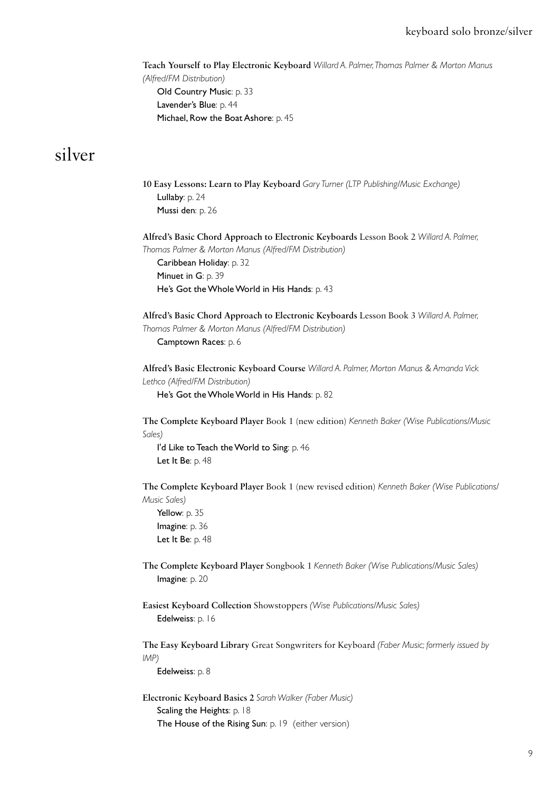#### keyboard solo bronze/silver

 **Teach Yourself to Play Electronic Keyboard** *Willard A. Palmer, Thomas Palmer & Morton Manus (Alfred/FM Distribution)* Old Country Music: p. 33 Lavender's Blue: p. 44 Michael, Row the Boat Ashore: p. 45

#### silver

 **10 Easy Lessons: Learn to Play Keyboard** *Gary Turner (LTP Publishing/Music Exchange)* Lullaby: p. 24 Mussi den: p. 26  **Alfred's Basic Chord Approach to Electronic Keyboards** Lesson Book 2 *Willard A. Palmer, Thomas Palmer & Morton Manus (Alfred/FM Distribution)* Caribbean Holiday: p. 32 Minuet in G: p. 39 He's Got the Whole World in His Hands: p. 43  **Alfred's Basic Chord Approach to Electronic Keyboards** Lesson Book 3 *Willard A. Palmer, Thomas Palmer & Morton Manus (Alfred/FM Distribution)*

Camptown Races: p. 6

 **Alfred's Basic Electronic Keyboard Course** *Willard A. Palmer, Morton Manus & Amanda Vick Lethco (Alfred/FM Distribution)*

He's Got the Whole World in His Hands: p. 82

 **The Complete Keyboard Player** Book 1 (new edition) *Kenneth Baker (Wise Publications/Music Sales)*

I'd Like to Teach the World to Sing: p. 46 Let It Be: p. 48

 **The Complete Keyboard Player** Book 1 (new revised edition) *Kenneth Baker (Wise Publications/ Music Sales)*

Yellow: p. 35 Imagine: p. 36 Let It Be: p. 48

 **The Complete Keyboard Player** Songbook 1 *Kenneth Baker (Wise Publications/Music Sales)* Imagine: p. 20

 **Easiest Keyboard Collection** Showstoppers *(Wise Publications/Music Sales)* Edelweiss: p. 16

 **The Easy Keyboard Library** Great Songwriters for Keyboard *(Faber Music; formerly issued by IMP)*

Edelweiss: p. 8

 **Electronic Keyboard Basics 2** *Sarah Walker (Faber Music)* Scaling the Heights: p. 18 The House of the Rising Sun: p. 19 (either version)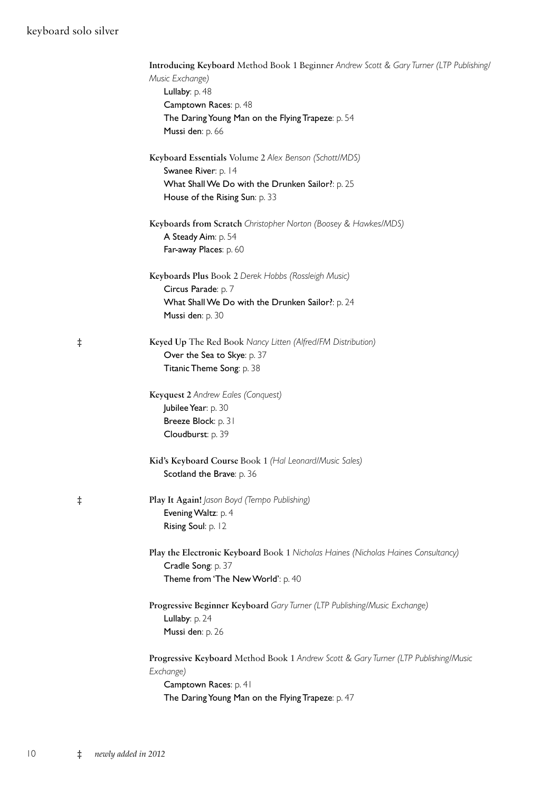#### keyboard solo silver

|            | Introducing Keyboard Method Book 1 Beginner Andrew Scott & Gary Turner (LTP Publishing, |
|------------|-----------------------------------------------------------------------------------------|
|            | Music Exchange)                                                                         |
|            | Lullaby: p. 48                                                                          |
|            | Camptown Races: p. 48                                                                   |
|            | The Daring Young Man on the Flying Trapeze: p. 54                                       |
|            | Mussi den: p. 66                                                                        |
|            | Keyboard Essentials Volume 2 Alex Benson (Schott/MDS)                                   |
|            | Swanee River: p. 14                                                                     |
|            | What Shall We Do with the Drunken Sailor?: p. 25                                        |
|            | House of the Rising Sun: p. 33                                                          |
|            | Keyboards from Scratch Christopher Norton (Boosey & Hawkes/MDS)                         |
|            | A Steady Aim: p. 54                                                                     |
|            | Far-away Places: p. 60                                                                  |
|            | Keyboards Plus Book 2 Derek Hobbs (Rossleigh Music)                                     |
|            | Circus Parade: p. 7                                                                     |
|            | What Shall We Do with the Drunken Sailor?: p. 24                                        |
|            | Mussi den: p. 30                                                                        |
| $\ddagger$ | Keyed Up The Red Book Nancy Litten (Alfred/FM Distribution)                             |
|            | Over the Sea to Skye: p. 37                                                             |
|            | Titanic Theme Song: p. 38                                                               |
|            | Keyquest 2 Andrew Eales (Conquest)                                                      |
|            | Jubilee Year: p. 30                                                                     |
|            | Breeze Block: p. 31                                                                     |
|            | Cloudburst: p. 39                                                                       |
|            | Kid's Keyboard Course Book 1 (Hal Leonard/Music Sales)                                  |
|            | Scotland the Brave: p. 36                                                               |
| $\ddagger$ | Play It Again! Jason Boyd (Tempo Publishing)                                            |
|            | Evening Waltz: p. 4                                                                     |
|            | Rising Soul: p. 12                                                                      |
|            | Play the Electronic Keyboard Book 1 Nicholas Haines (Nicholas Haines Consultancy)       |
|            | Cradle Song: p. 37                                                                      |
|            | Theme from 'The New World': p. 40                                                       |
|            | Progressive Beginner Keyboard Gary Turner (LTP Publishing/Music Exchange)               |
|            | Lullaby: p. 24                                                                          |
|            | Mussi den: p. 26                                                                        |
|            | Progressive Keyboard Method Book 1 Andrew Scott & Gary Turner (LTP Publishing/Music     |
|            | Exchange)                                                                               |
|            | Camptown Races: p. 41                                                                   |
|            | The Daring Young Man on the Flying Trapeze: p. 47                                       |
|            |                                                                                         |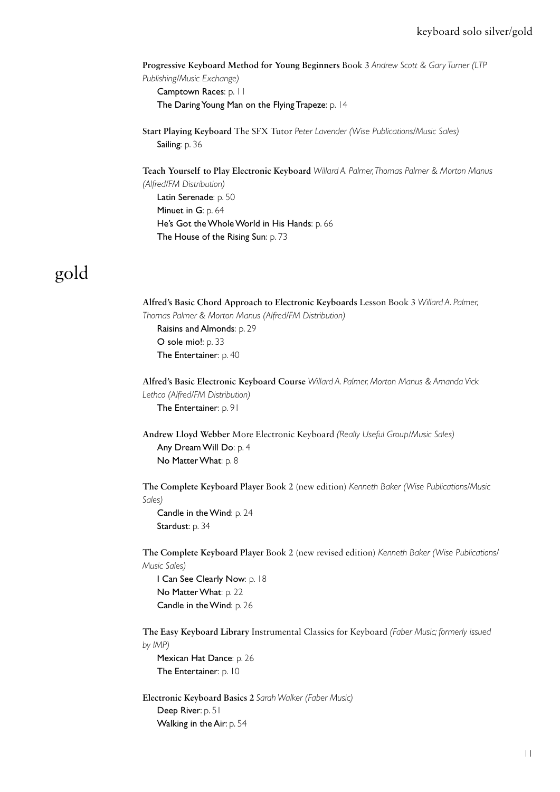**Progressive Keyboard Method for Young Beginners** Book 3 *Andrew Scott & Gary Turner (LTP Publishing/Music Exchange)* Camptown Races: p. 11 The Daring Young Man on the Flying Trapeze: p. 14

 **Start Playing Keyboard** The SFX Tutor *Peter Lavender (Wise Publications/Music Sales)* Sailing: p. 36

 **Teach Yourself to Play Electronic Keyboard** *Willard A. Palmer, Thomas Palmer & Morton Manus (Alfred/FM Distribution)*

 Latin Serenade: p. 50 Minuet in G: p. 64 He's Got the Whole World in His Hands: p. 66 The House of the Rising Sun: p. 73

## gold

 **Alfred's Basic Chord Approach to Electronic Keyboards** Lesson Book 3 *Willard A. Palmer, Thomas Palmer & Morton Manus (Alfred/FM Distribution)* Raisins and Almonds: p. 29 O sole mio!: p. 33 The Entertainer: p. 40  **Alfred's Basic Electronic Keyboard Course** *Willard A. Palmer, Morton Manus & Amanda Vick Lethco (Alfred/FM Distribution)* The Entertainer: p. 91  **Andrew Lloyd Webber** More Electronic Keyboard *(Really Useful Group/Music Sales)* Any Dream Will Do: p. 4 No Matter What: p. 8  **The Complete Keyboard Player** Book 2 (new edition) *Kenneth Baker (Wise Publications/Music Sales)* Candle in the Wind: p. 24 Stardust: p. 34  **The Complete Keyboard Player** Book 2 (new revised edition) *Kenneth Baker (Wise Publications/ Music Sales)* I Can See Clearly Now: p. 18 No Matter What: p. 22 Candle in the Wind: p. 26  **The Easy Keyboard Library** Instrumental Classics for Keyboard *(Faber Music; formerly issued by IMP)* Mexican Hat Dance: p. 26 The Entertainer: p. 10

 **Electronic Keyboard Basics 2** *Sarah Walker (Faber Music)* Deep River: p. 51 Walking in the Air: p. 54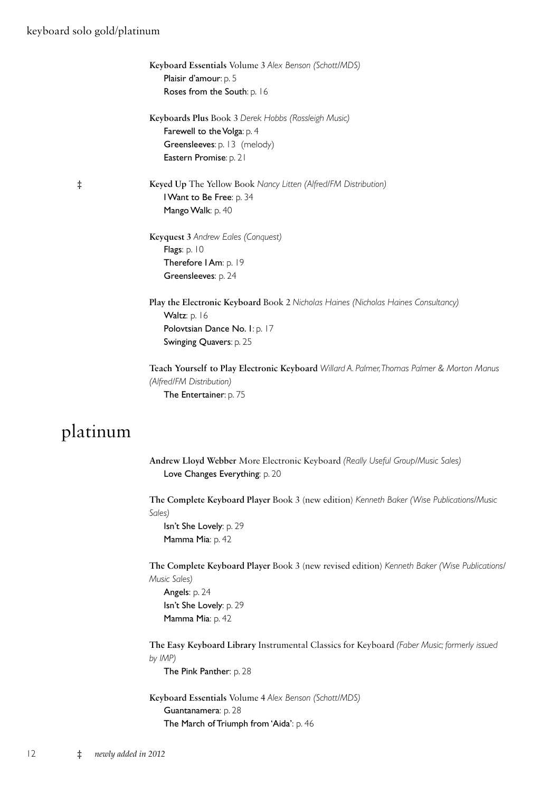#### keyboard solo gold/platinum

|            | Keyboard Essentials Volume 3 Alex Benson (Schott/MDS)<br>Plaisir d'amour: p. 5<br>Roses from the South: p. 16                                                 |
|------------|---------------------------------------------------------------------------------------------------------------------------------------------------------------|
|            | Keyboards Plus Book 3 Derek Hobbs (Rossleigh Music)<br>Farewell to the Volga: p. 4<br>Greensleeves: p. 13 (melody)<br>Eastern Promise: p. 21                  |
| $\ddagger$ | Keyed Up The Yellow Book Nancy Litten (Alfred/FM Distribution)<br>I Want to Be Free: p. 34<br>Mango Walk: p. 40                                               |
|            | Keyquest 3 Andrew Eales (Conquest)<br>Flags: p. 10<br>Therefore I Am: p. 19<br>Greensleeves: p. 24                                                            |
|            | Play the Electronic Keyboard Book 2 Nicholas Haines (Nicholas Haines Consultancy)<br>Waltz: p. 16<br>Polovtsian Dance No. I: p. 17<br>Swinging Quavers: p. 25 |
|            | Teach Yourself to Play Electronic Keyboard Willard A. Palmer, Thomas Palmer & Morton Manus<br>(Alfred/FM Distribution)<br>The Entertainer: p. 75              |
| platinum   |                                                                                                                                                               |
|            | Andrew Lloyd Webber More Electronic Keyboard (Really Useful Group/Music Sales)<br>Love Changes Everything: p. 20                                              |

 **The Complete Keyboard Player** Book 3 (new edition) *Kenneth Baker (Wise Publications/Music Sales)*

 Isn't She Lovely: p. 29 Mamma Mia: p. 42

 **The Complete Keyboard Player** Book 3 (new revised edition) *Kenneth Baker (Wise Publications/ Music Sales)*

 Angels: p. 24 Isn't She Lovely: p. 29 Mamma Mia: p. 42

 **The Easy Keyboard Library** Instrumental Classics for Keyboard *(Faber Music; formerly issued by IMP)*

The Pink Panther: p. 28

 **Keyboard Essentials** Volume 4 *Alex Benson (Schott/MDS)* Guantanamera: p. 28 The March of Triumph from 'Aida': p. 46